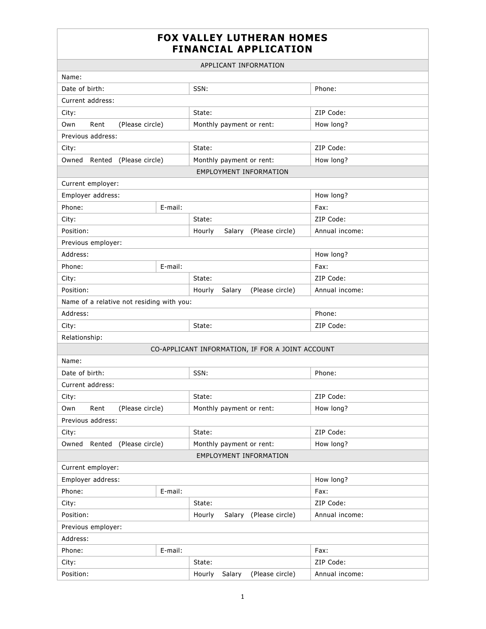## **FOX VALLEY LUTHERAN HOMES FINANCIAL APPLICATION**

| APPLICANT INFORMATION                     |         |                                                  |                |  |  |  |
|-------------------------------------------|---------|--------------------------------------------------|----------------|--|--|--|
| Name:                                     |         |                                                  |                |  |  |  |
| Date of birth:                            |         | SSN:                                             | Phone:         |  |  |  |
| Current address:                          |         |                                                  |                |  |  |  |
| City:                                     |         | State:                                           | ZIP Code:      |  |  |  |
| Own<br>Rent<br>(Please circle)            |         | Monthly payment or rent:                         | How long?      |  |  |  |
| Previous address:                         |         |                                                  |                |  |  |  |
| City:                                     |         | State:                                           | ZIP Code:      |  |  |  |
| Owned Rented<br>(Please circle)           |         | Monthly payment or rent:                         | How long?      |  |  |  |
|                                           |         | <b>EMPLOYMENT INFORMATION</b>                    |                |  |  |  |
| Current employer:                         |         |                                                  |                |  |  |  |
| Employer address:                         |         |                                                  | How long?      |  |  |  |
| Phone:<br>E-mail:                         |         |                                                  | Fax:           |  |  |  |
| City:                                     |         | State:                                           | ZIP Code:      |  |  |  |
| Position:                                 |         | (Please circle)<br>Hourly<br>Salary              | Annual income: |  |  |  |
| Previous employer:                        |         |                                                  |                |  |  |  |
| Address:                                  |         |                                                  | How long?      |  |  |  |
| Phone:<br>E-mail:                         |         |                                                  | Fax:           |  |  |  |
| City:                                     |         | State:                                           | ZIP Code:      |  |  |  |
| Position:                                 |         | (Please circle)<br>Hourly<br>Salary              | Annual income: |  |  |  |
| Name of a relative not residing with you: |         |                                                  |                |  |  |  |
| Address:                                  |         |                                                  | Phone:         |  |  |  |
| City:                                     |         | State:                                           | ZIP Code:      |  |  |  |
| Relationship:                             |         |                                                  |                |  |  |  |
|                                           |         | CO-APPLICANT INFORMATION, IF FOR A JOINT ACCOUNT |                |  |  |  |
| Name:                                     |         |                                                  |                |  |  |  |
| Date of birth:                            |         | SSN:                                             | Phone:         |  |  |  |
| Current address:                          |         |                                                  |                |  |  |  |
| City:                                     |         | State:                                           | ZIP Code:      |  |  |  |
| Own<br>Rent<br>(Please circle)            |         | Monthly payment or rent:                         | How long?      |  |  |  |
| Previous address:                         |         |                                                  |                |  |  |  |
| City:                                     |         | State:                                           | ZIP Code:      |  |  |  |
| Owned<br>Rented<br>(Please circle)        |         | Monthly payment or rent:                         | How long?      |  |  |  |
| <b>EMPLOYMENT INFORMATION</b>             |         |                                                  |                |  |  |  |
| Current employer:                         |         |                                                  |                |  |  |  |
| Employer address:                         |         |                                                  | How long?      |  |  |  |
| Phone:<br>E-mail:                         |         |                                                  | Fax:           |  |  |  |
| City:                                     |         | State:                                           | ZIP Code:      |  |  |  |
| Position:                                 |         | (Please circle)<br>Hourly<br>Salary              | Annual income: |  |  |  |
| Previous employer:                        |         |                                                  |                |  |  |  |
| Address:                                  |         |                                                  |                |  |  |  |
| Phone:                                    | E-mail: |                                                  | Fax:           |  |  |  |
| City:                                     |         | State:                                           | ZIP Code:      |  |  |  |
| Position:                                 |         | (Please circle)<br>Hourly<br>Salary              | Annual income: |  |  |  |